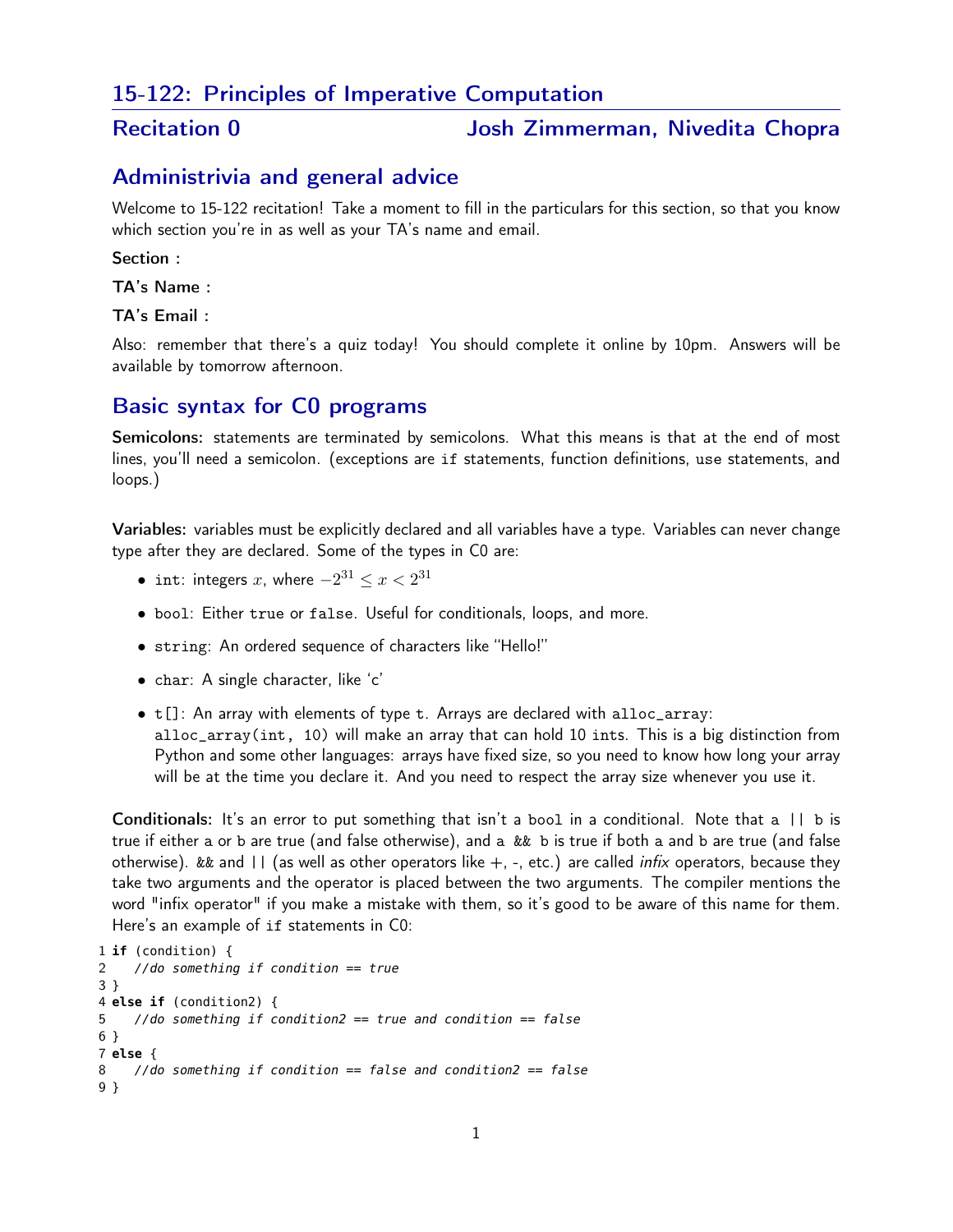# 15-122: Principles of Imperative Computation

# Recitation 0 **1988** Josh Zimmerman, Nivedita Chopra

# Administrivia and general advice

Welcome to 15-122 recitation! Take a moment to fill in the particulars for this section, so that you know which section you're in as well as your TA's name and email.

### Section :

TA's Name :

TA's Email :

Also: remember that there's a quiz today! You should complete it online by 10pm. Answers will be available by tomorrow afternoon.

# Basic syntax for C0 programs

Semicolons: statements are terminated by semicolons. What this means is that at the end of most lines, you'll need a semicolon. (exceptions are if statements, function definitions, use statements, and loops.)

Variables: variables must be explicitly declared and all variables have a type. Variables can never change type after they are declared. Some of the types in C0 are:

- $\bullet$  int: integers  $x$ , where  $-2^{31} \leq x < 2^{31}$
- bool: Either true or false. Useful for conditionals, loops, and more.
- string: An ordered sequence of characters like "Hello!"
- char: A single character, like 'c'
- t[]: An array with elements of type t. Arrays are declared with alloc\_array: alloc\_array(int, 10) will make an array that can hold 10 ints. This is a big distinction from Python and some other languages: arrays have fixed size, so you need to know how long your array will be at the time you declare it. And you need to respect the array size whenever you use it.

Conditionals: It's an error to put something that isn't a bool in a conditional. Note that a || b is true if either a or b are true (and false otherwise), and a && b is true if both a and b are true (and false otherwise). && and  $||$  (as well as other operators like  $+$ ,  $-$ , etc.) are called *infix* operators, because they take two arguments and the operator is placed between the two arguments. The compiler mentions the word "infix operator" if you make a mistake with them, so it's good to be aware of this name for them. Here's an example of if statements in C0:

```
1 if (condition) {
2 //do something if condition == true
3 }
4 else if (condition2) {
5 //do something if condition2 == true and condition == false
6 }
7 else {
8 //do something if condition == false and condition2 == false
9 }
```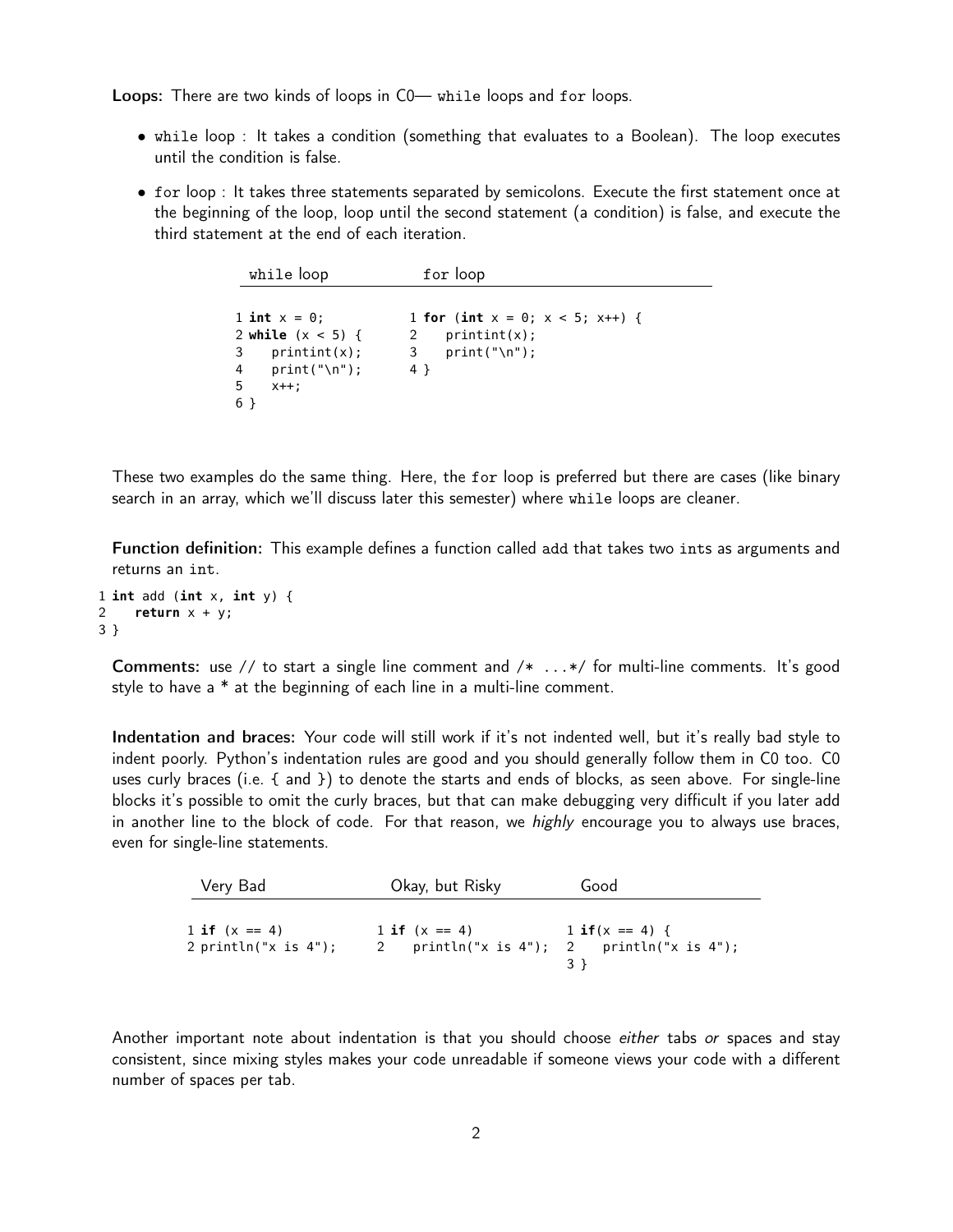Loops: There are two kinds of loops in C0— while loops and for loops.

- while loop : It takes a condition (something that evaluates to a Boolean). The loop executes until the condition is false.
- for loop : It takes three statements separated by semicolons. Execute the first statement once at the beginning of the loop, loop until the second statement (a condition) is false, and execute the third statement at the end of each iteration.

```
while loop for loop
1 int x = 0;
2 while (x < 5) {
3 printint(x);
4 print("\n");
5 x++;
6 }
                    1 for (int x = 0; x < 5; x++) {
                    2 printint(x);
                    3 print("\n");
                    4 }
```
These two examples do the same thing. Here, the for loop is preferred but there are cases (like binary search in an array, which we'll discuss later this semester) where while loops are cleaner.

Function definition: This example defines a function called add that takes two ints as arguments and returns an int.

```
1 int add (int x, int y) {
2 return x + y;
3 }
```
**Comments:** use // to start a single line comment and  $/* \ldots */$  for multi-line comments. It's good style to have a \* at the beginning of each line in a multi-line comment.

Indentation and braces: Your code will still work if it's not indented well, but it's really bad style to indent poorly. Python's indentation rules are good and you should generally follow them in C0 too. C0 uses curly braces (i.e. { and }) to denote the starts and ends of blocks, as seen above. For single-line blocks it's possible to omit the curly braces, but that can make debugging very difficult if you later add in another line to the block of code. For that reason, we *highly* encourage you to always use braces, even for single-line statements.

| Very Bad                                   | Okay, but Risky                                              | Good                |
|--------------------------------------------|--------------------------------------------------------------|---------------------|
| 1 if $(x == 4)$<br>2 println("x is $4"$ ); | 1 if $(x == 4)$<br>2 println("x is 4"); 2 println("x is 4"); | $1$ if $(x == 4)$ { |

Another important note about indentation is that you should choose *either* tabs or spaces and stay consistent, since mixing styles makes your code unreadable if someone views your code with a different number of spaces per tab.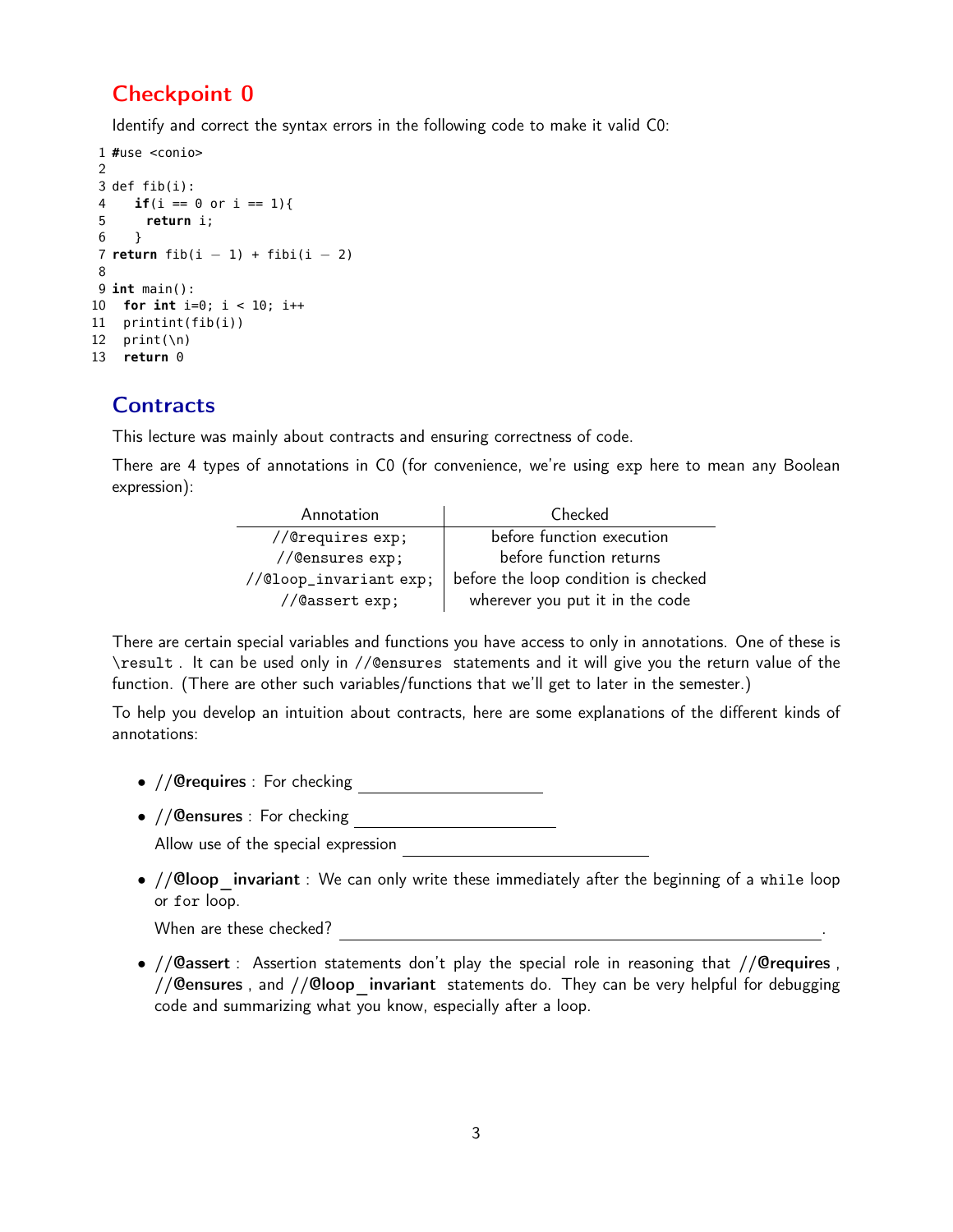# Checkpoint 0

Identify and correct the syntax errors in the following code to make it valid C0:

```
1 #use <conio>
2
3 def fib(i):
4 if(i == \theta or i == 1){
5 return i;
6 }
7 return fib(i − 1) + fibi(i − 2)
8
9 int main():
10 for int i=0; i < 10; i++
11 printint(fib(i))
12 print(\n\ln)13 return 0
```
# **Contracts**

This lecture was mainly about contracts and ensuring correctness of code.

There are 4 types of annotations in C0 (for convenience, we're using exp here to mean any Boolean expression):

| Annotation            | Checked                              |
|-----------------------|--------------------------------------|
| //@requires exp;      | before function execution            |
| //@ensures exp;       | before function returns              |
| //@loop_invariantexp; | before the loop condition is checked |
| //@assert exp;        | wherever you put it in the code      |

There are certain special variables and functions you have access to only in annotations. One of these is \result . It can be used only in //@ensures statements and it will give you the return value of the function. (There are other such variables/functions that we'll get to later in the semester.)

To help you develop an intuition about contracts, here are some explanations of the different kinds of annotations:

- //@requires : For checking
- //@ensures : For checking

Allow use of the special expression

•  $// **Qloop**$  invariant : We can only write these immediately after the beginning of a while loop or for loop.

When are these checked?

• //@assert : Assertion statements don't play the special role in reasoning that //@requires ,  $//$  Gensures, and  $//$  Gloop invariant statements do. They can be very helpful for debugging code and summarizing what you know, especially after a loop.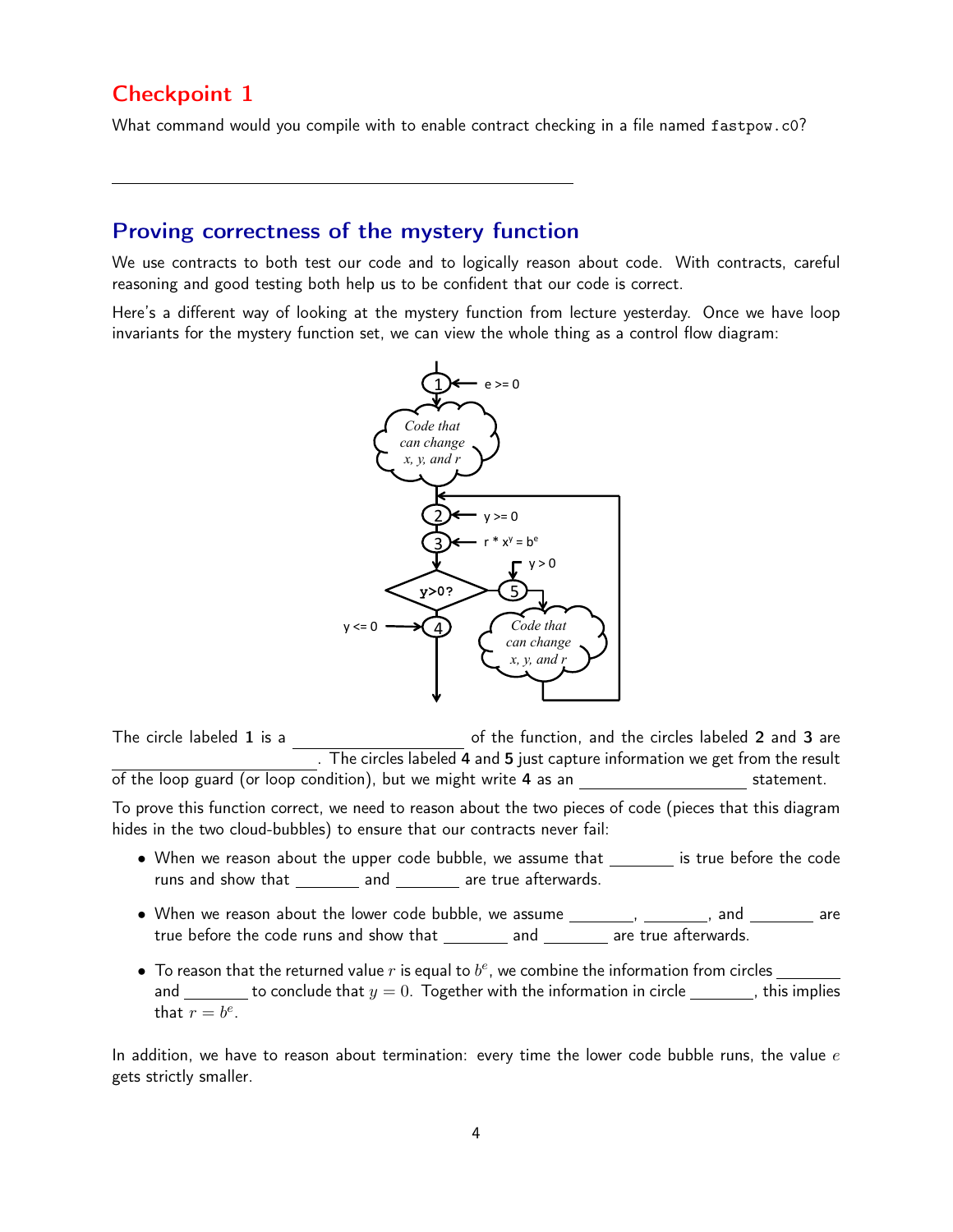# Checkpoint 1

What command would you compile with to enable contract checking in a file named fastpow.c0?

# Proving correctness of the mystery function

We use contracts to both test our code and to logically reason about code. With contracts, careful reasoning and good testing both help us to be confident that our code is correct.

Here's a different way of looking at the mystery function from lecture yesterday. Once we have loop invariants for the mystery function set, we can view the whole thing as a control flow diagram:



The circle labeled 1 is a set of the function, and the circles labeled 2 and 3 are . The circles labeled 4 and 5 just capture information we get from the result of the loop guard (or loop condition), but we might write 4 as an statement.

To prove this function correct, we need to reason about the two pieces of code (pieces that this diagram hides in the two cloud-bubbles) to ensure that our contracts never fail:

- When we reason about the upper code bubble, we assume that \_\_\_\_\_\_\_ is true before the code runs and show that \_\_\_\_\_\_\_\_\_ and \_\_\_\_\_\_\_\_ are true afterwards.
- true before the code runs and show that  $\_\_\_\_\_$  and  $\_\_\_\_\_$  are true afterwards.  $\bullet$  When we reason about the lower code bubble, we assume  $\frac{1}{\sqrt{1-\frac{1}{n}}}\$  and  $\frac{1}{\sqrt{1-\frac{1}{n}}}\$  are
- $\bullet \,$  To reason that the returned value  $r$  is equal to  $b^e$ , we combine the information from circles and \_\_\_\_\_\_\_ to conclude that  $y = 0$ . Together with the information in circle  $\_\_\_\_\_$ , this implies that  $r = b^e$ .

In addition, we have to reason about termination: every time the lower code bubble runs, the value  $e$ gets strictly smaller.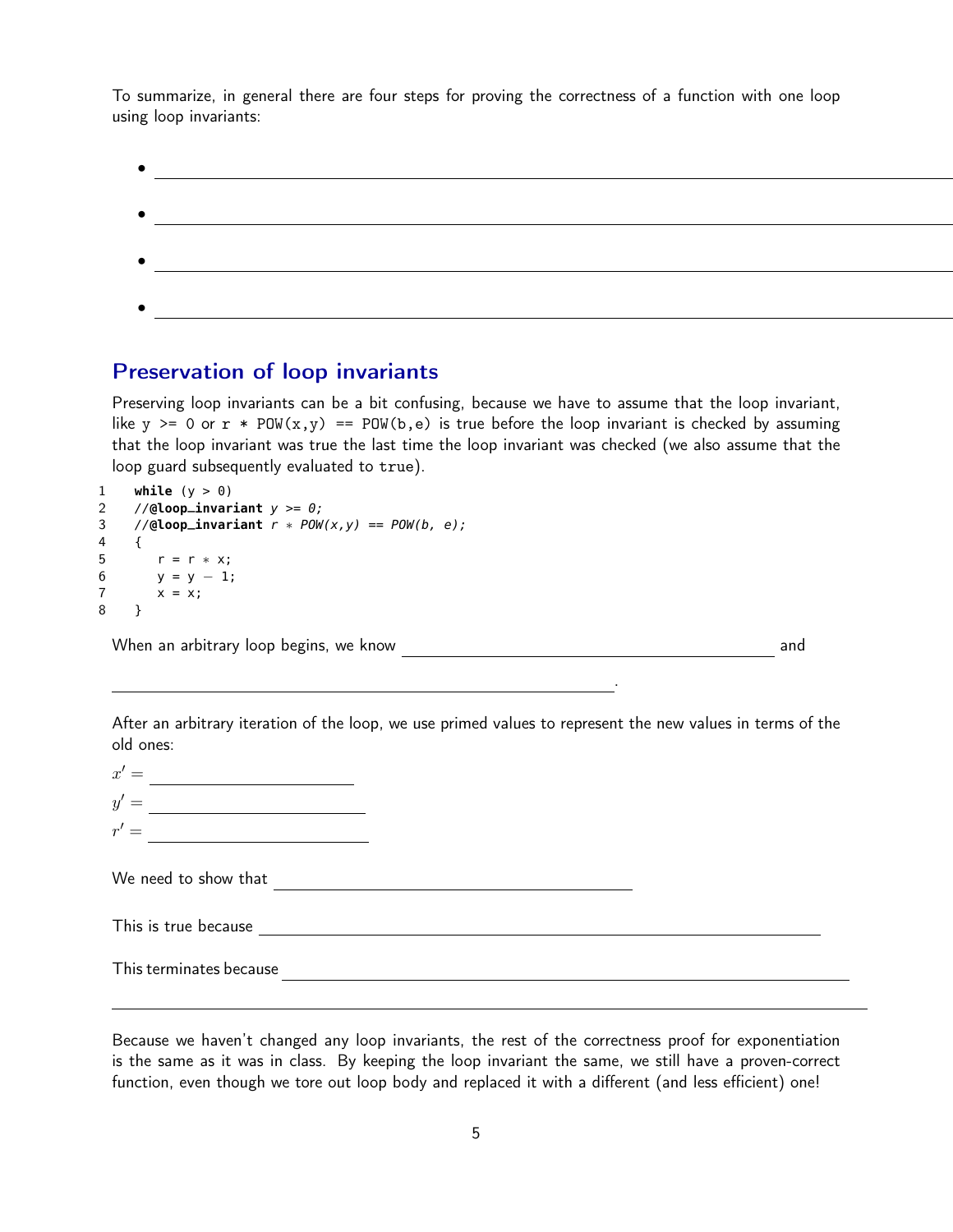To summarize, in general there are four steps for proving the correctness of a function with one loop using loop invariants:

# Preservation of loop invariants

Preserving loop invariants can be a bit confusing, because we have to assume that the loop invariant, like y  $>= 0$  or  $r * POW(x, y) == POW(b, e)$  is true before the loop invariant is checked by assuming that the loop invariant was true the last time the loop invariant was checked (we also assume that the loop guard subsequently evaluated to true).

```
1 while (y > 0)2 //@loop_invariant y \ge 0;
3 //@loop_invariant r * POW(x, y) == POW(b, e);
4 {
5 r = r * x;6 y = y - 1;7 \times = x;
8 }
```
When an arbitrary loop begins, we know and

After an arbitrary iteration of the loop, we use primed values to represent the new values in terms of the old ones:

.

| $x' =$ |  |
|--------|--|
| $y' =$ |  |
| $r' =$ |  |

We need to show that

This is true because <u>experience and the set of the set of the set of the set of the set of the set of the set of the set of the set of the set of the set of the set of the set of the set of the set of the set of the set o</u>

This terminates because **Example 2** and the contract of the contract of the contract of the contract of the contract of the contract of the contract of the contract of the contract of the contract of the contract of the co

Because we haven't changed any loop invariants, the rest of the correctness proof for exponentiation is the same as it was in class. By keeping the loop invariant the same, we still have a proven-correct function, even though we tore out loop body and replaced it with a different (and less efficient) one!